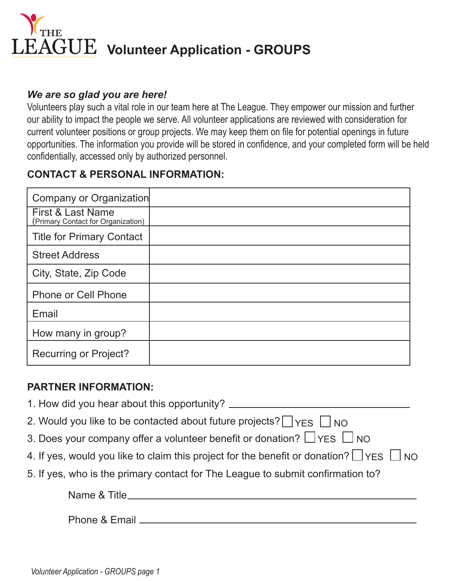

#### *We are so glad you are here!*

Volunteers play such a vital role in our team here at The League. They empower our mission and further our ability to impact the people we serve. All volunteer applications are reviewed with consideration for current volunteer positions or group projects. We may keep them on file for potential openings in future opportunities. The information you provide will be stored in confidence, and your completed form will be held confidentially, accessed only by authorized personnel.

## **CONTACT & PERSONAL INFORMATION:**

| Company or Organization                                 |  |
|---------------------------------------------------------|--|
| First & Last Name<br>(Primary Contact for Organization) |  |
| <b>Title for Primary Contact</b>                        |  |
| <b>Street Address</b>                                   |  |
| City, State, Zip Code                                   |  |
| <b>Phone or Cell Phone</b>                              |  |
| Email                                                   |  |
| How many in group?                                      |  |
| <b>Recurring or Project?</b>                            |  |

#### **PARTNER INFORMATION:**

| 2. Would you like to be contacted about future projects? $\Box$ YFS $\Box$ NO                     |
|---------------------------------------------------------------------------------------------------|
| 3. Does your company offer a volunteer benefit or donation? $\Box$ YES $\Box$ NO                  |
| 4. If yes, would you like to claim this project for the benefit or donation? $\Box$ YES $\Box$ NO |
| 5. If yes, who is the primary contact for The League to submit confirmation to?                   |
|                                                                                                   |
| Phone & Email _______________                                                                     |